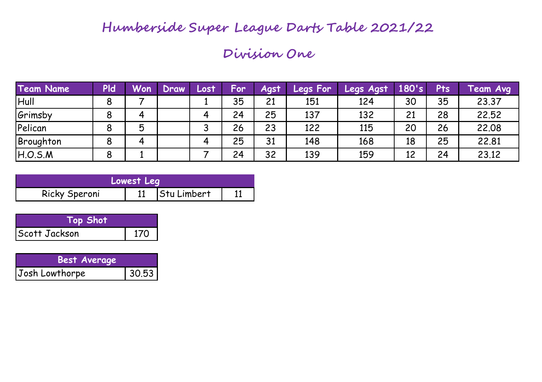### **Humberside Super League Darts Table 2021/22**

#### **Division One**

| <b>Team Name</b> | <b>Pld</b> | Won      | Draw | Losti | <b>For</b> | Agst | Legs For | Legs Agst | 180's | Pts | Team Avg |
|------------------|------------|----------|------|-------|------------|------|----------|-----------|-------|-----|----------|
| Hull             | 8          |          |      |       | 35         | 21   | 151      | 124       | 30    | 35  | 23.37    |
| Grimsby          | 8          | $\bf{u}$ |      |       | 24         | 25   | 137      | 132       | 21    | 28  | 22.52    |
| Pelican          | 8          | 厉        |      |       | 26         | 23   | 122      | 115       | 20    | 26  | 22.08    |
| Broughton        | 8          |          |      |       | 25         | 31   | 148      | 168       | 18    | 25  | 22.81    |
| H.O.S.M          | 8          |          |      |       | 24         | 32   | 139      | 159       | 12    | 24  | 23.12    |

|               | Lowest Leg |             |  |
|---------------|------------|-------------|--|
| Ricky Speroni |            | Stu Limbert |  |

| Top Shot      |  |
|---------------|--|
| Scott Jackson |  |

| <b>Best Average</b> |       |
|---------------------|-------|
| Josh Lowthorpe      | 30.53 |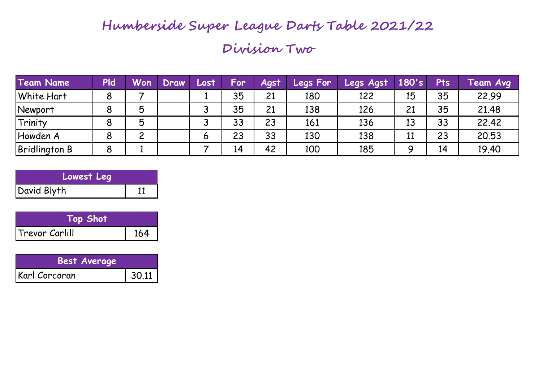### **Humberside Super League Darts Table 2021/22**

### **Division Two**

| <b>Team Name</b>     | <b>PId</b> | Won      | Draw | Lost | For | <b>Agst</b> | <b>Legs For</b> | Legs Agst | 180's | <b>Pts</b> | Team Avg |
|----------------------|------------|----------|------|------|-----|-------------|-----------------|-----------|-------|------------|----------|
| <b>White Hart</b>    | 8          |          |      |      | 35  | 21          | 180             | 122       | 15    | 35         | 22.99    |
| <b>Newport</b>       | 8          | 5        |      |      | 35  | 21          | 138             | 126       | 21    | 35         | 21.48    |
| Trinity              | 8          | 5        |      |      | 33  | 23          | 161             | 136       | 13    | 33         | 22.42    |
| Howden A             | 8          | <u>ົ</u> |      | 6    | 23  | 33          | 130             | 138       | 11    | 23         | 20.53    |
| <b>Bridlington B</b> | 8          |          |      |      | 14  | 42          | 100             | 185       | a     | 14         | 19.40    |

| Lowest Leg  |  |
|-------------|--|
| David Blyth |  |

| $\mathsf{Top}$ Shot $\mathsf{I}^\mathsf{I}$ |    |
|---------------------------------------------|----|
| Trevor Carlill                              | 64 |

| <b>Best Average</b> |       |
|---------------------|-------|
| Karl Corcoran       | 30.11 |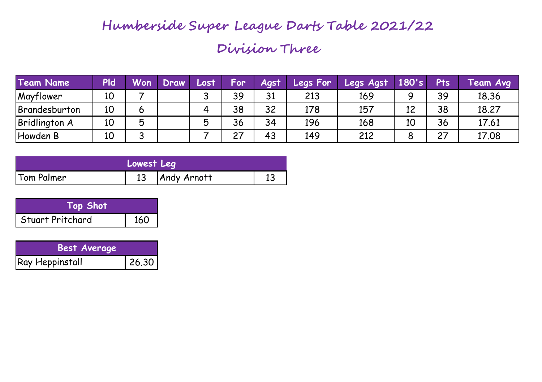# **Division Three Humberside Super League Darts Table 2021/22**

| <b>Team Name</b>      | <b>PId</b> | <b>Won</b>               | Draw | Lost     | For      | Agst | <b>Legs For</b> | <b>Legs Agst</b> | 180's | Pts | <b>Feam Avg</b> |
|-----------------------|------------|--------------------------|------|----------|----------|------|-----------------|------------------|-------|-----|-----------------|
| Mayflower             | 10         |                          |      | ີ<br>ັ   | 39       | 31   | 213             | 169              | O     | 39  | 18.36           |
| <b>IBrandesburton</b> | 10         | 6                        |      | $\bf{u}$ | 38       | 32   | 178             | 157              | 12    | 38  | 18.27           |
| <b>Bridlington A</b>  | 10         | Б                        |      | 片        | 36       | 34   | 196             | 168              | 10    | 36  | 17.61           |
| Howden B              | 10         | $\overline{\phantom{0}}$ |      |          | ົ<br>، ے | 43   | 149             | 212              | Ο     | 27  | 17.08           |

|            | Lowest Leg |                  |  |
|------------|------------|------------------|--|
| Tom Palmer |            | 13   Andy Arnott |  |

| Top Shot           |     |
|--------------------|-----|
| l Stuart Pritchard | 160 |

| <b>Best Average</b> |       |
|---------------------|-------|
| Ray Heppinstall     | 26.30 |